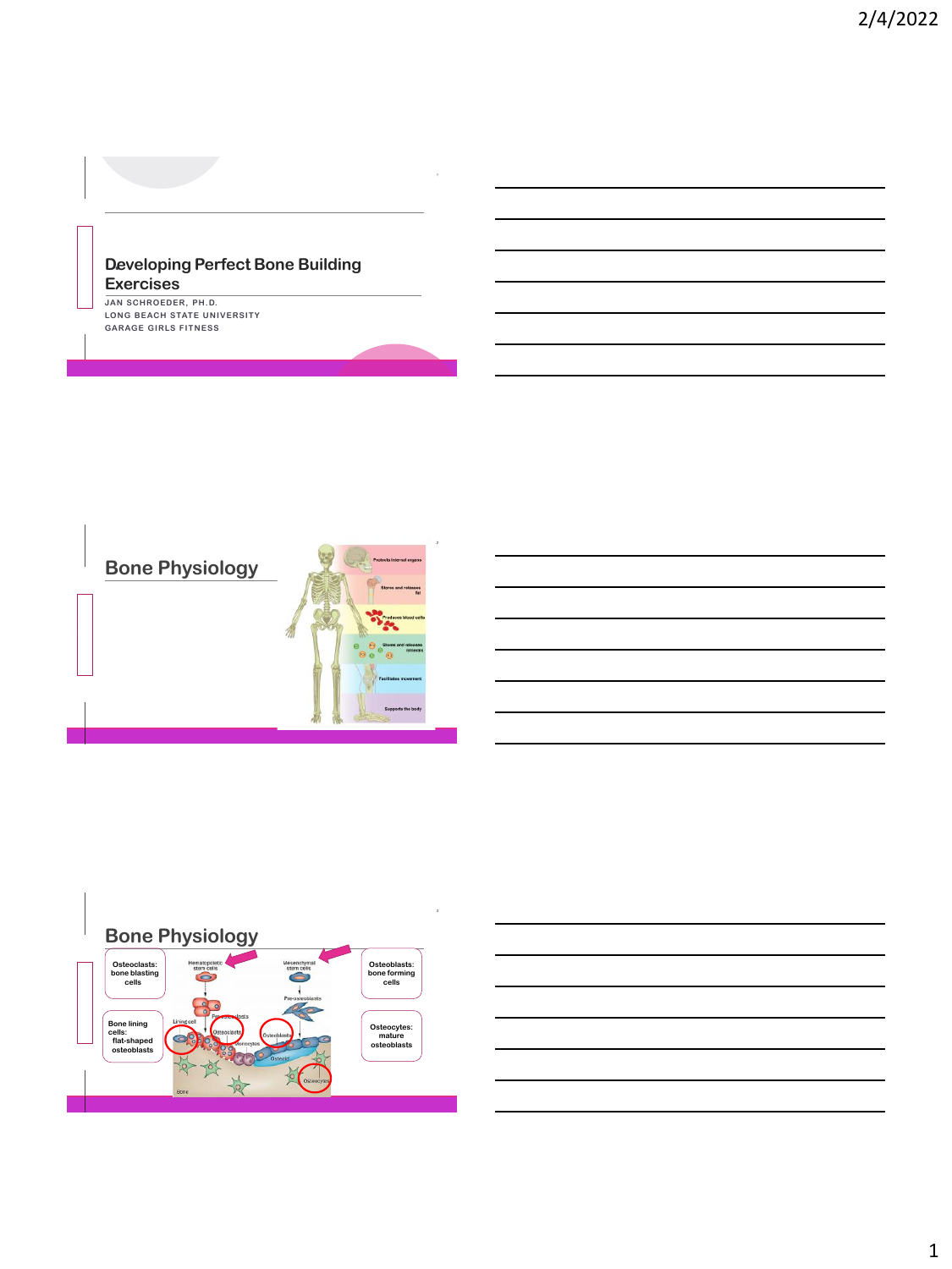#### **Developing Perfect Bone Building Exercises**

**JAN SCHROEDER, PH.D. LONG BEACH STATE UNIVERSITY GARAGE GIRLS FITNESS**

**T H C O F F E E**





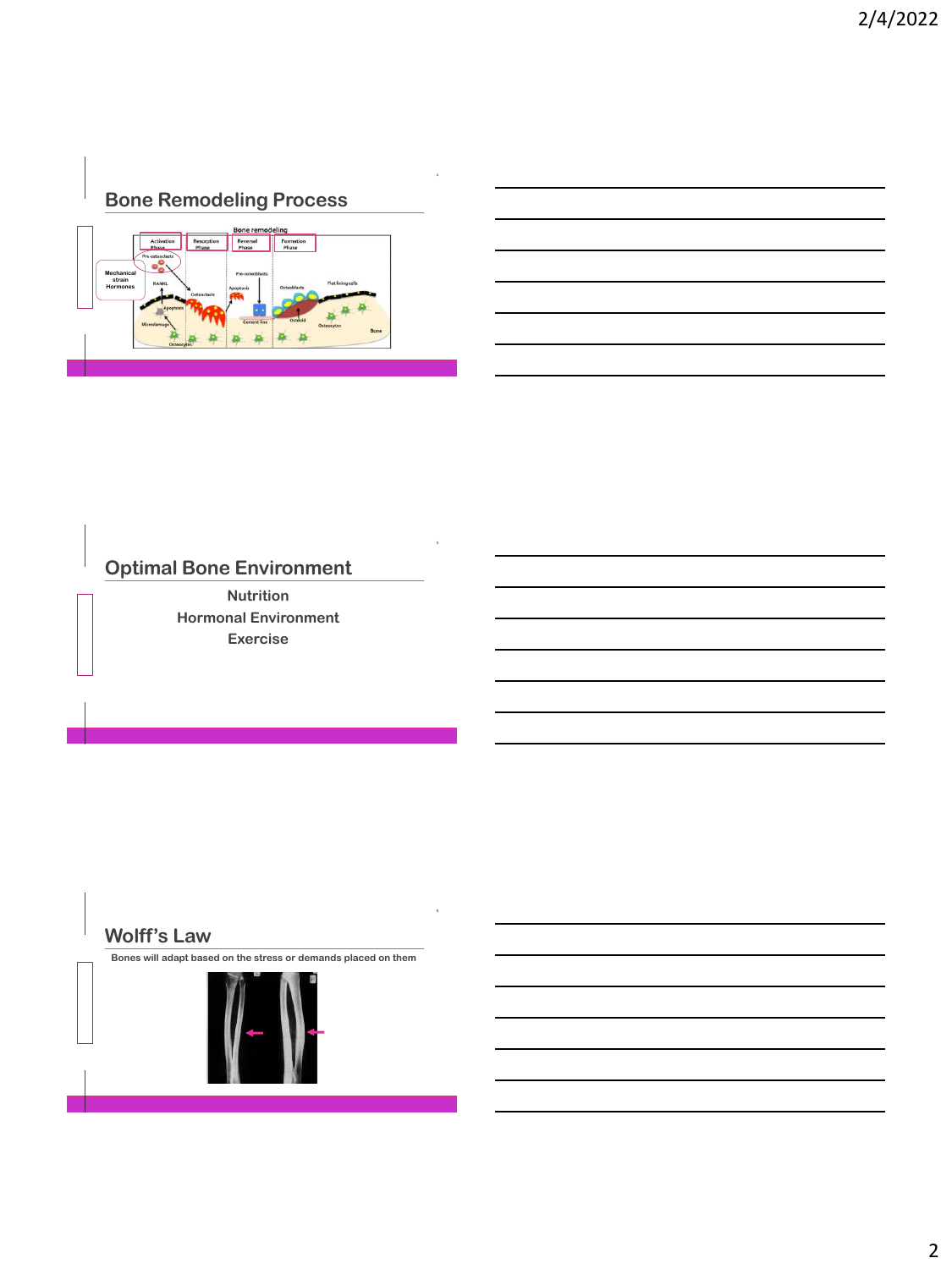## **Bone Remodeling Process**



# **Optimal Bone Environment**

**Nutrition Hormonal Environment Exercise**

#### **Wolff's Law**

**T H C O F F E E**

**T H C O F F E E**

**Bones will adapt based on the stress or demands placed on them**

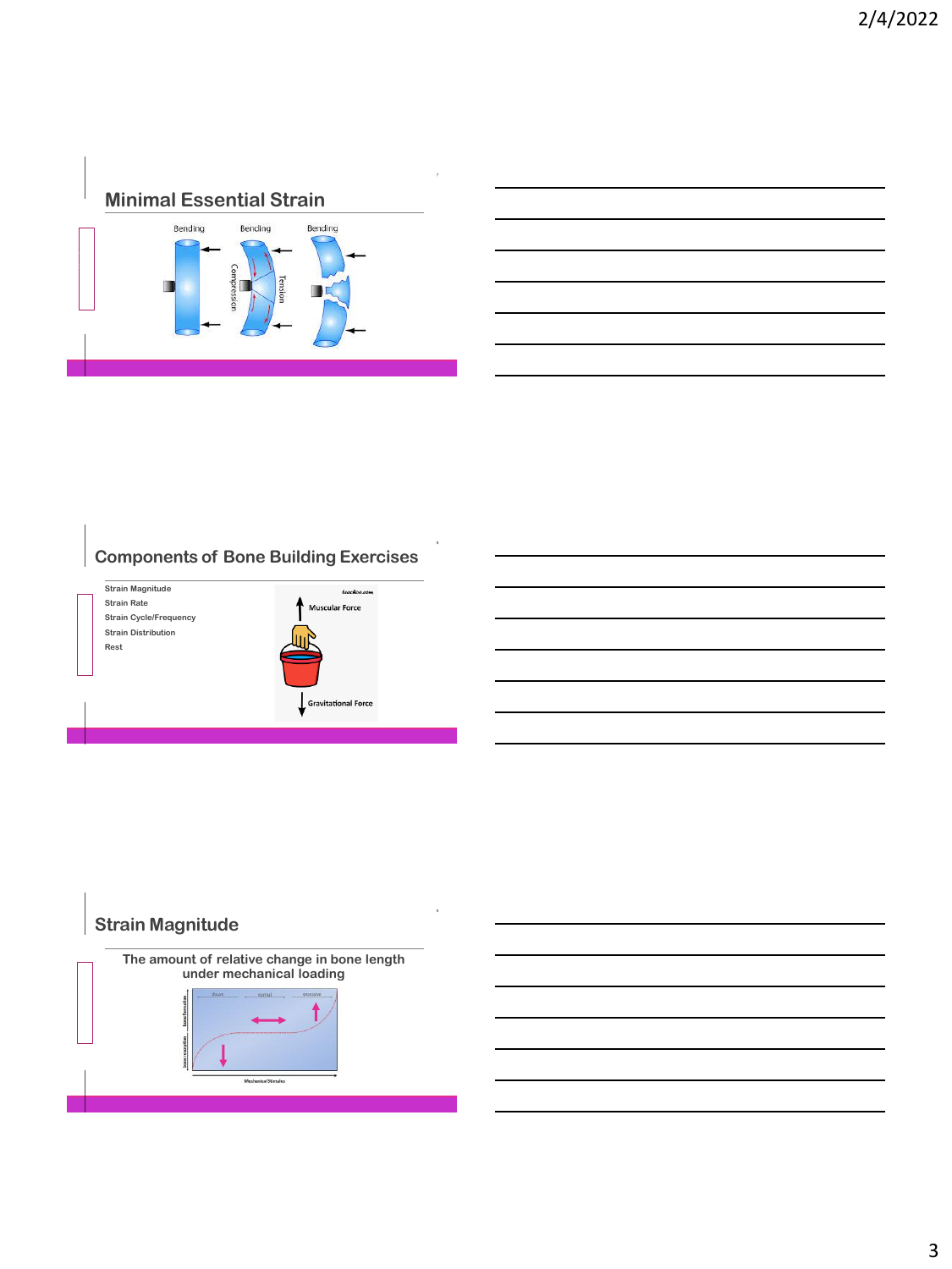



## **Components of Bone Building Exercises**



### **Strain Magnitude**

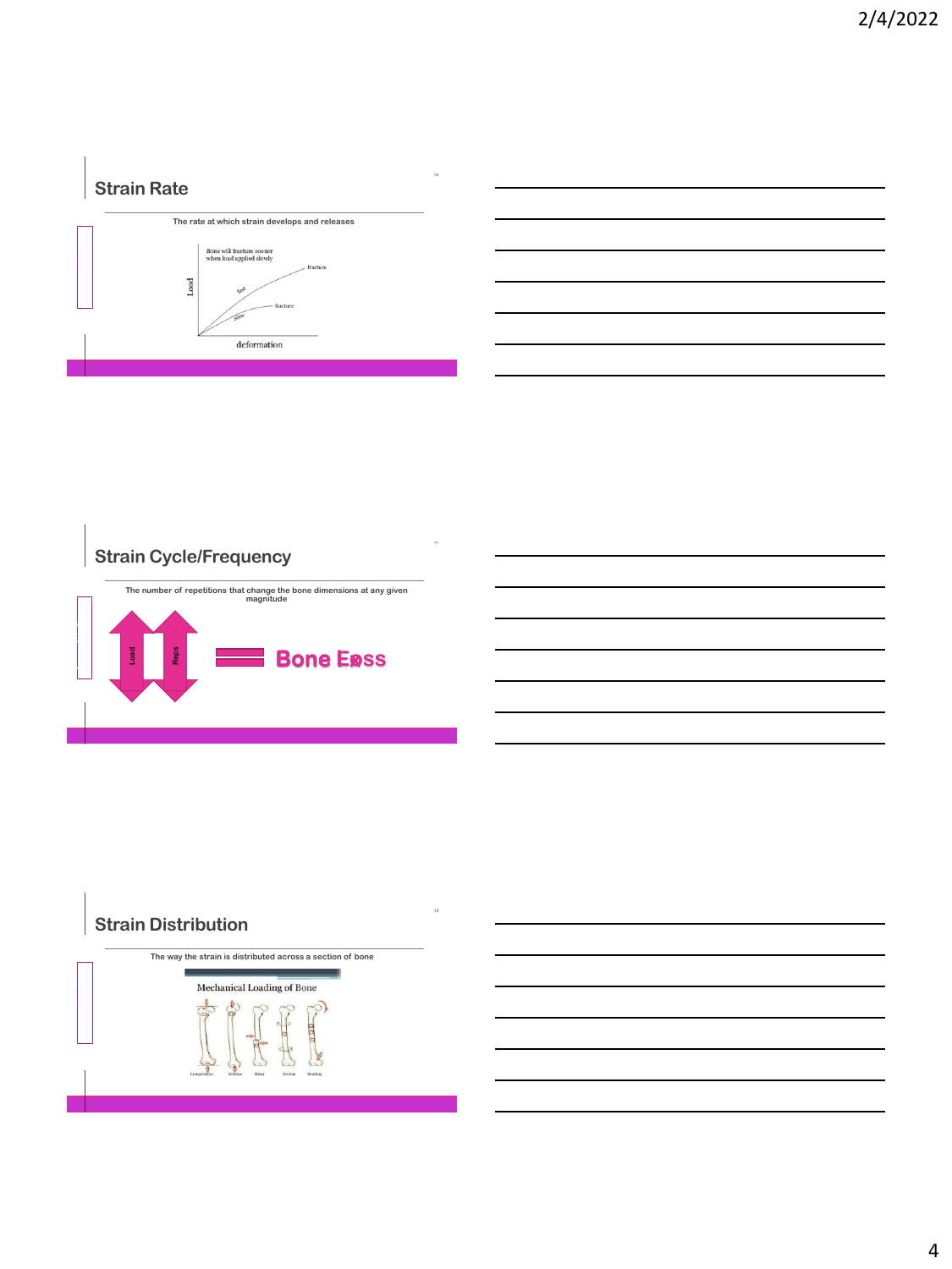## **Strain Rate**



## **Strain Cycle/Frequency**



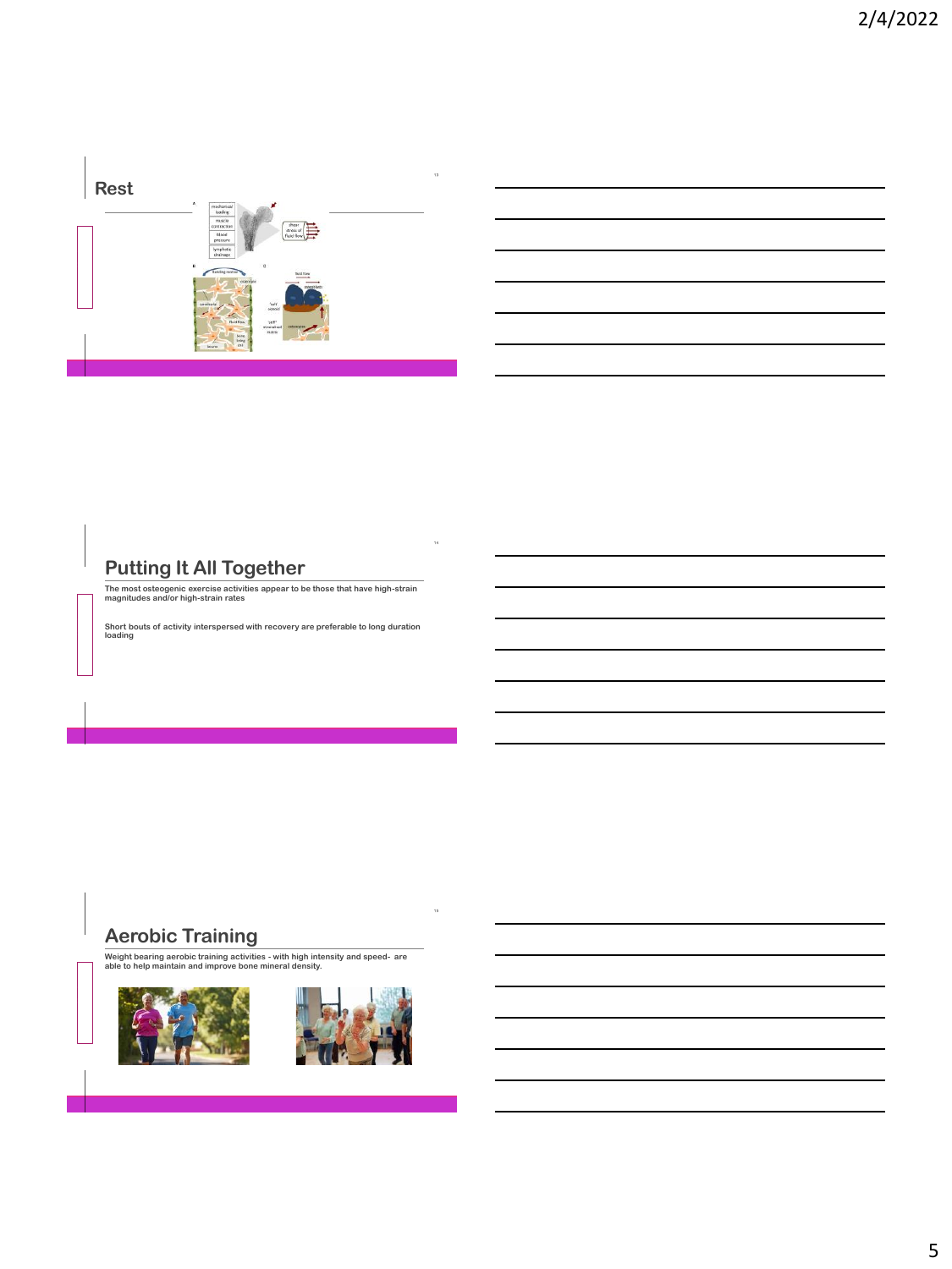

# **Putting It All Together**

**T H C O F F E E**

**T H C O F F E E**

**The most osteogenic exercise activities appear to be those that have high-strain magnitudes and/or high-strain rates**

**Short bouts of activity interspersed with recovery are preferable to long duration loading** 

#### **Aerobic Training**

**Weight bearing aerobic training activities - with high intensity and speed- are able to help maintain and improve bone mineral density.**



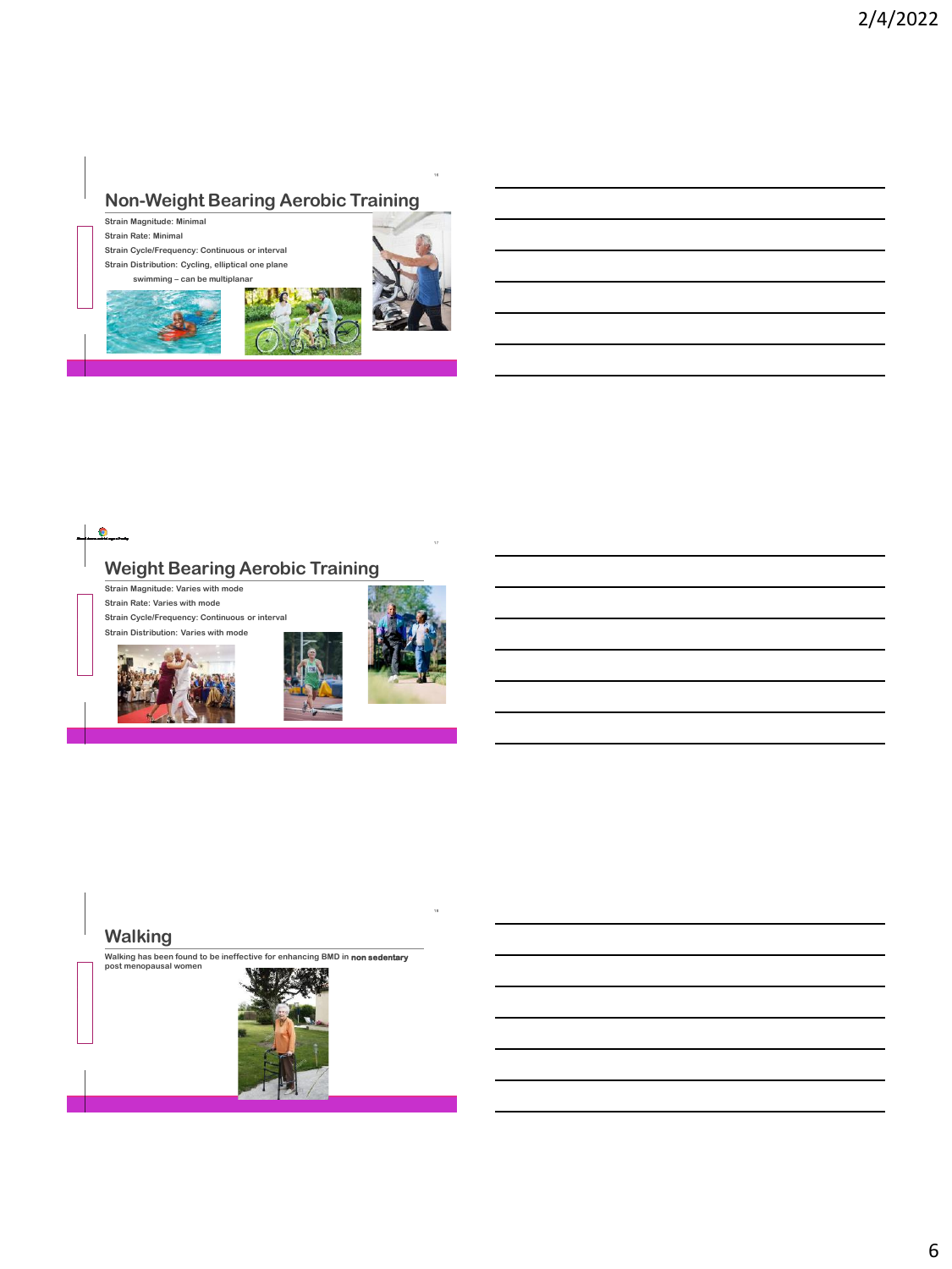## **Non-Weight Bearing Aerobic Training**

**Strain Magnitude: Minimal Strain Rate: Minimal Strain Cycle/Frequency: Continuous or interval Strain Distribution: Cycling, elliptical one plane**









#### **Walking**

**T H C O F F E E**

**Walking has been found to be ineffective for enhancing BMD in non sedentary post menopausal women**

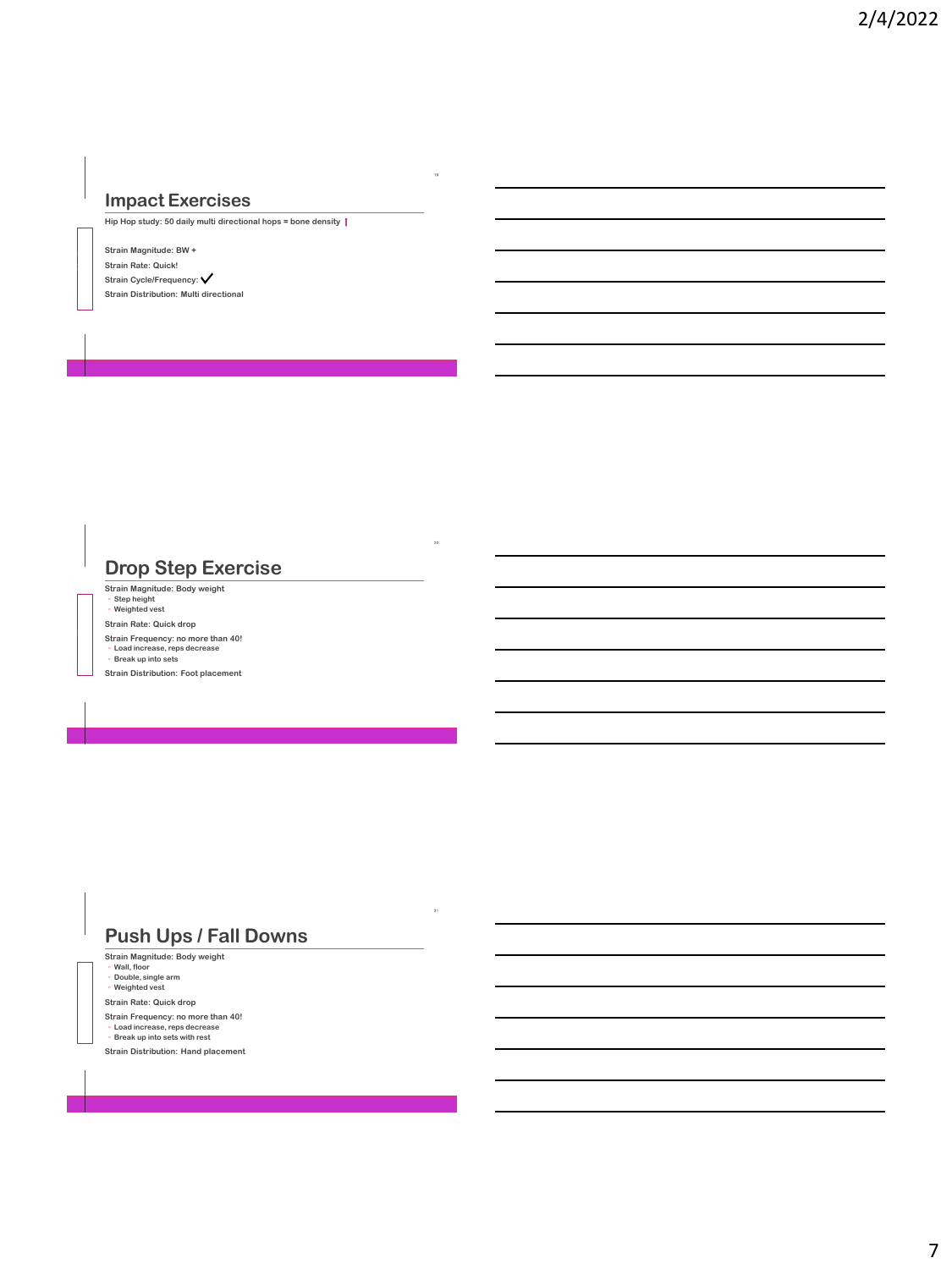#### **Impact Exercises**

**Hip Hop study: 50 daily multi directional hops = bone density** 

**Strain Magnitude: BW + Strain Rate: Quick! Strain Cycle/Frequency: Strain Distribution: Multi directional**

**T H C O F F E E**

**T H C O F F E E**

**T H C O F F E E**

### **Drop Step Exercise**

**Strain Magnitude: Body weight** ◦ **Step height** ◦ **Weighted vest Strain Rate: Quick drop Strain Frequency: no more than 40!** ◦ **Load increase, reps decrease** ◦ **Break up into sets**

**Strain Distribution: Foot placement**

### **Push Ups / Fall Downs**

**Strain Magnitude: Body weight** ◦ **Wall, floor** ◦ **Double, single arm** ◦ **Weighted vest**

**Strain Rate: Quick drop**

**Strain Frequency: no more than 40!** ◦ **Load increase, reps decrease** ◦ **Break up into sets with rest Strain Distribution: Hand placement**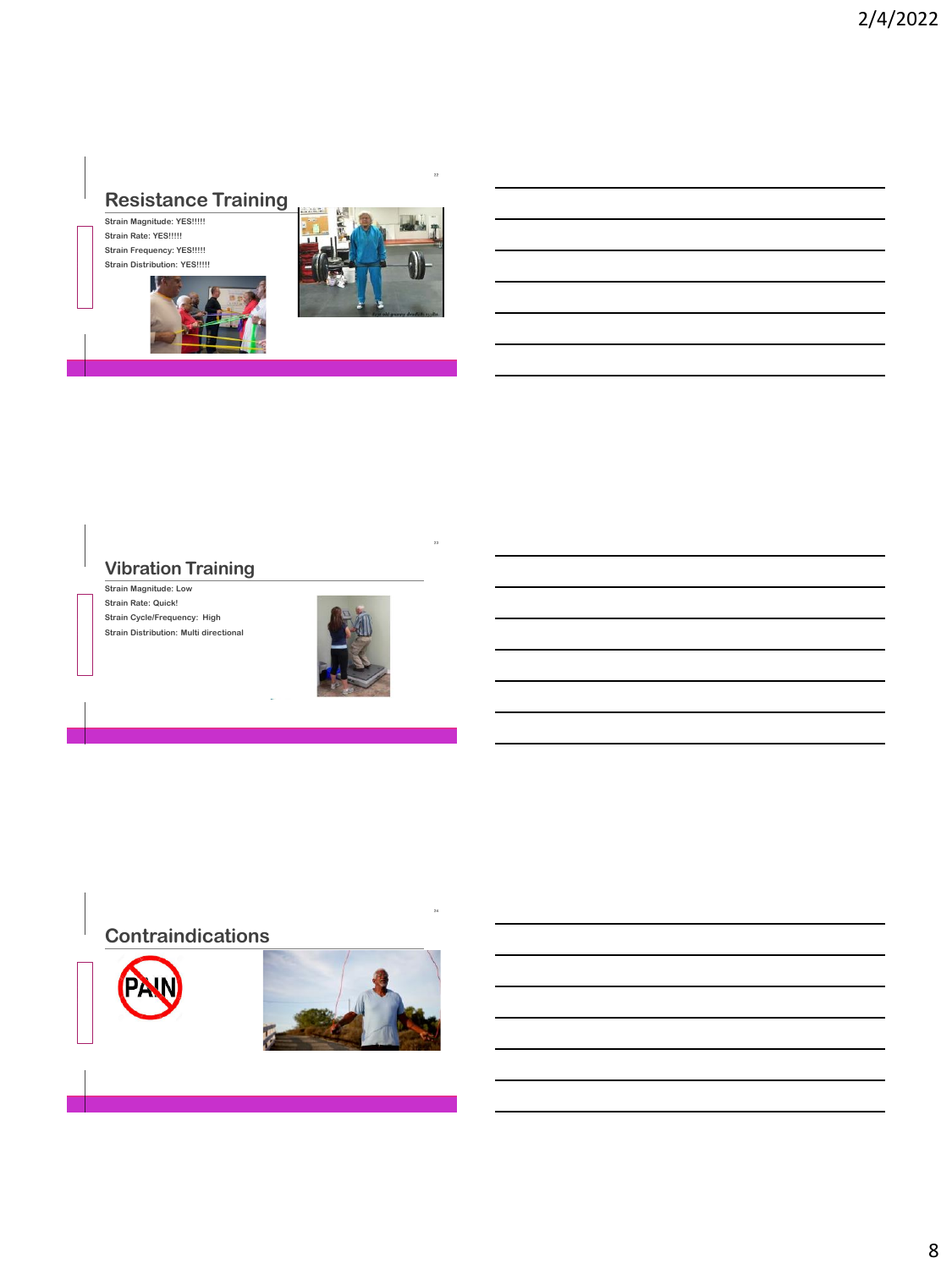# **Resistance Training**

**Strain Magnitude: YES!!!!! Strain Rate: YES!!!!! Strain Frequency: YES!!!!! Strain Distribution: YES!!!!!**

**T H C O F F E E**

**T H C O F F E E**



### **Vibration Training**

**Strain Magnitude: Low Strain Rate: Quick! Strain Cycle/Frequency: High Strain Distribution: Multi directional**



## **Contraindications**



**T H C O F F E E**